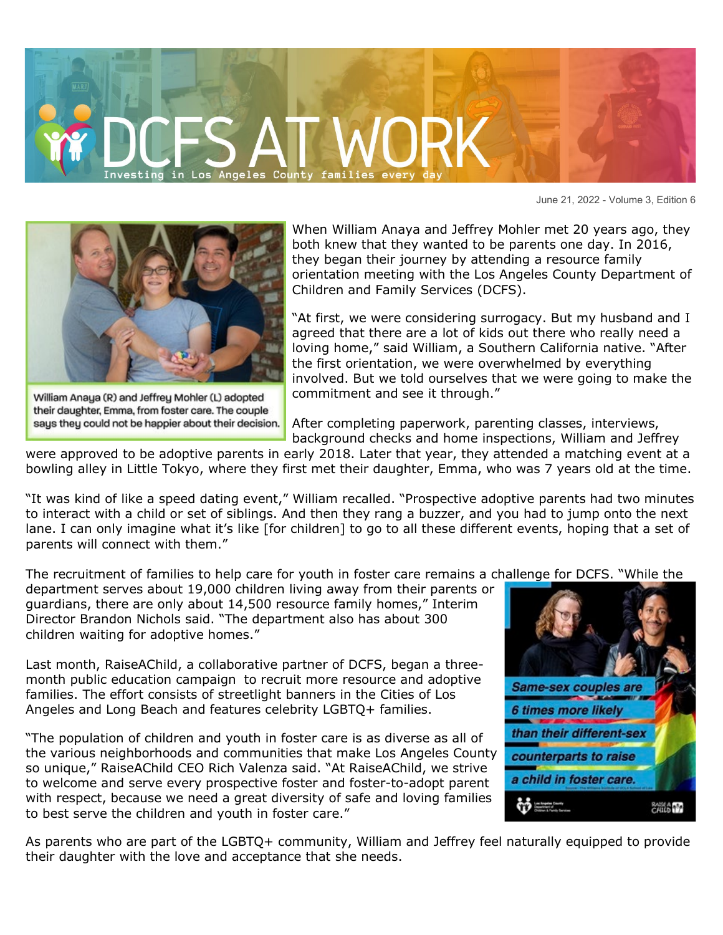

June 21, 2022 - Volume 3, Edition 6



William Anaya (R) and Jeffrey Mohler (L) adopted their daughter, Emma, from foster care. The couple says they could not be happier about their decision.

When William Anaya and Jeffrey Mohler met 20 years ago, they both knew that they wanted to be parents one day. In 2016, they began their journey by attending a resource family orientation meeting with the Los Angeles County Department of Children and Family Services (DCFS).

"At first, we were considering surrogacy. But my husband and I agreed that there are a lot of kids out there who really need a loving home," said William, a Southern California native. "After the first orientation, we were overwhelmed by everything involved. But we told ourselves that we were going to make the commitment and see it through."

After completing paperwork, parenting classes, interviews, background checks and home inspections, William and Jeffrey

were approved to be adoptive parents in early 2018. Later that year, they attended a matching event at a bowling alley in Little Tokyo, where they first met their daughter, Emma, who was 7 years old at the time.

"It was kind of like a speed dating event," William recalled. "Prospective adoptive parents had two minutes to interact with a child or set of siblings. And then they rang a buzzer, and you had to jump onto the next lane. I can only imagine what it's like [for children] to go to all these different events, hoping that a set of parents will connect with them."

The recruitment of families to help care for youth in foster care remains a challenge for DCFS. "While the

department serves about 19,000 children living away from their parents or guardians, there are only about 14,500 resource family homes," Interim Director Brandon Nichols said. "The department also has about 300 children waiting for adoptive homes."

Last month, RaiseAChild, a collaborative partner of DCFS, began a threemonth public education campaign to recruit more resource and adoptive families. The effort consists of streetlight banners in the Cities of Los Angeles and Long Beach and features celebrity LGBTQ+ families.

"The population of children and youth in foster care is as diverse as all of the various neighborhoods and communities that make Los Angeles County so unique," RaiseAChild CEO Rich Valenza said. "At RaiseAChild, we strive to welcome and serve every prospective foster and foster-to-adopt parent with respect, because we need a great diversity of safe and loving families to best serve the children and youth in foster care."



As parents who are part of the LGBTQ+ community, William and Jeffrey feel naturally equipped to provide their daughter with the love and acceptance that she needs.